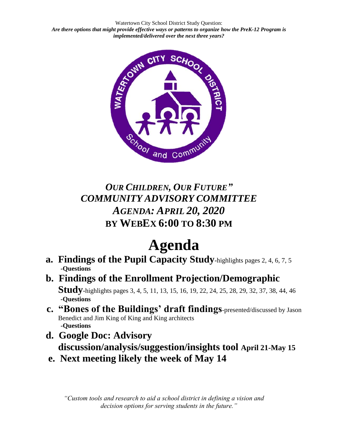Watertown City School District Study Question: *Are there options that might provide effective ways or patterns to organize how the PreK-12 Program is implemented/delivered over the next three years?*



*OUR CHILDREN, OUR FUTURE" COMMUNITY ADVISORY COMMITTEE AGENDA: APRIL 20, 2020* **BY WEBEX 6:00 TO 8:30 PM** 

## **Agenda**

- **a. Findings of the Pupil Capacity Study-**highlights pages 2, 4, 6, 7, <sup>5</sup>  **-Questions**
- **b. Findings of the Enrollment Projection/Demographic Study-**highlights pages 3, 4, 5, 11, 13, 15, 16, 19, 22, 24, 25, 28, 29, 32, 37, 38, 44, 46  **-Questions**
- **c. "Bones of the Buildings' draft findings**-presented/discussed by Jason Benedict and Jim King of King and King architects **-Questions**
- **d. Google Doc: Advisory discussion/analysis/suggestion/insights tool April 21-May 15**
- **e. Next meeting likely the week of May 14**

*"Custom tools and research to aid a school district in defining a vision and decision options for serving students in the future."*